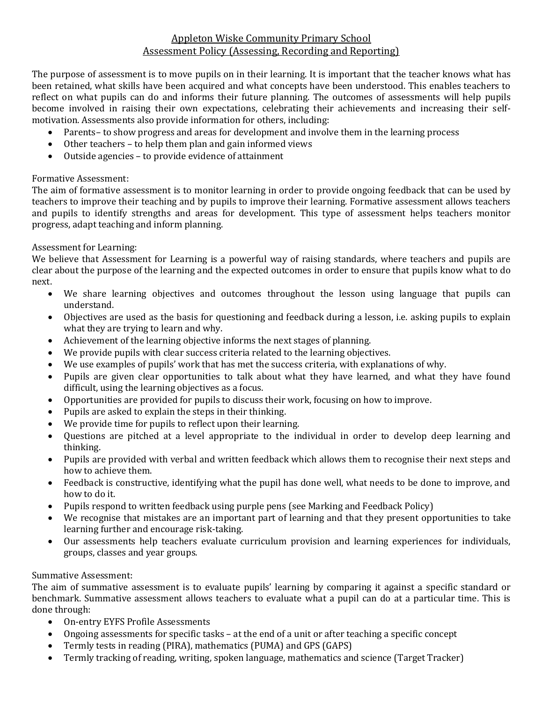## Appleton Wiske Community Primary School Assessment Policy (Assessing, Recording and Reporting)

The purpose of assessment is to move pupils on in their learning. It is important that the teacher knows what has been retained, what skills have been acquired and what concepts have been understood. This enables teachers to reflect on what pupils can do and informs their future planning. The outcomes of assessments will help pupils become involved in raising their own expectations, celebrating their achievements and increasing their selfmotivation. Assessments also provide information for others, including:

- Parents– to show progress and areas for development and involve them in the learning process
- Other teachers to help them plan and gain informed views
- Outside agencies to provide evidence of attainment

## Formative Assessment:

The aim of formative assessment is to monitor learning in order to provide ongoing feedback that can be used by teachers to improve their teaching and by pupils to improve their learning. Formative assessment allows teachers and pupils to identify strengths and areas for development. This type of assessment helps teachers monitor progress, adapt teaching and inform planning.

## Assessment for Learning:

We believe that Assessment for Learning is a powerful way of raising standards, where teachers and pupils are clear about the purpose of the learning and the expected outcomes in order to ensure that pupils know what to do next.

- We share learning objectives and outcomes throughout the lesson using language that pupils can understand.
- Objectives are used as the basis for questioning and feedback during a lesson, i.e. asking pupils to explain what they are trying to learn and why.
- Achievement of the learning objective informs the next stages of planning.
- We provide pupils with clear success criteria related to the learning objectives.
- We use examples of pupils' work that has met the success criteria, with explanations of why.
- Pupils are given clear opportunities to talk about what they have learned, and what they have found difficult, using the learning objectives as a focus.
- Opportunities are provided for pupils to discuss their work, focusing on how to improve.
- Pupils are asked to explain the steps in their thinking.
- We provide time for pupils to reflect upon their learning.
- Questions are pitched at a level appropriate to the individual in order to develop deep learning and thinking.
- Pupils are provided with verbal and written feedback which allows them to recognise their next steps and how to achieve them.
- Feedback is constructive, identifying what the pupil has done well, what needs to be done to improve, and how to do it.
- Pupils respond to written feedback using purple pens (see Marking and Feedback Policy)
- We recognise that mistakes are an important part of learning and that they present opportunities to take learning further and encourage risk-taking.
- Our assessments help teachers evaluate curriculum provision and learning experiences for individuals, groups, classes and year groups.

#### Summative Assessment:

The aim of summative assessment is to evaluate pupils' learning by comparing it against a specific standard or benchmark. Summative assessment allows teachers to evaluate what a pupil can do at a particular time. This is done through:

- On-entry EYFS Profile Assessments
- Ongoing assessments for specific tasks at the end of a unit or after teaching a specific concept
- Termly tests in reading (PIRA), mathematics (PUMA) and GPS (GAPS)
- Termly tracking of reading, writing, spoken language, mathematics and science (Target Tracker)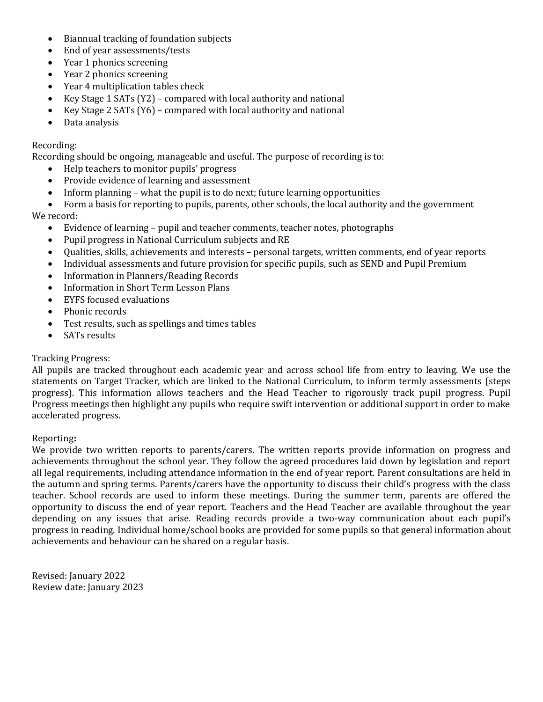- Biannual tracking of foundation subjects
- End of year assessments/tests
- Year 1 phonics screening
- Year 2 phonics screening
- Year 4 multiplication tables check
- Key Stage 1 SATs (Y2) compared with local authority and national
- Exercise 2 SATs ( $Y_6$ ) compared with local authority and national
- Data analysis

#### Recording:

Recording should be ongoing, manageable and useful. The purpose of recording is to:

- Help teachers to monitor pupils' progress
- Provide evidence of learning and assessment
- Inform planning what the pupil is to do next; future learning opportunities
- Form a basis for reporting to pupils, parents, other schools, the local authority and the government

## We record:

- Evidence of learning pupil and teacher comments, teacher notes, photographs
- Pupil progress in National Curriculum subjects and RE
- Qualities, skills, achievements and interests personal targets, written comments, end of year reports
- Individual assessments and future provision for specific pupils, such as SEND and Pupil Premium
- Information in Planners/Reading Records
- Information in Short Term Lesson Plans
- EYFS focused evaluations
- Phonic records
- Test results, such as spellings and times tables
- SATs results

#### Tracking Progress:

All pupils are tracked throughout each academic year and across school life from entry to leaving. We use the statements on Target Tracker, which are linked to the National Curriculum, to inform termly assessments (steps progress). This information allows teachers and the Head Teacher to rigorously track pupil progress. Pupil Progress meetings then highlight any pupils who require swift intervention or additional support in order to make accelerated progress.

#### Reporting**:**

We provide two written reports to parents/carers. The written reports provide information on progress and achievements throughout the school year. They follow the agreed procedures laid down by legislation and report all legal requirements, including attendance information in the end of year report. Parent consultations are held in the autumn and spring terms. Parents/carers have the opportunity to discuss their child's progress with the class teacher. School records are used to inform these meetings. During the summer term, parents are offered the opportunity to discuss the end of year report. Teachers and the Head Teacher are available throughout the year depending on any issues that arise. Reading records provide a two-way communication about each pupil's progress in reading. Individual home/school books are provided for some pupils so that general information about achievements and behaviour can be shared on a regular basis.

Revised: January 2022 Review date: January 2023